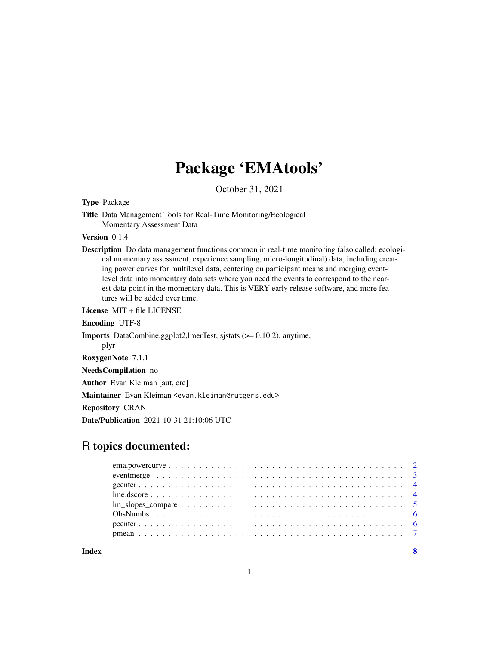# Package 'EMAtools'

October 31, 2021

Type Package

Title Data Management Tools for Real-Time Monitoring/Ecological Momentary Assessment Data

Version 0.1.4

Description Do data management functions common in real-time monitoring (also called: ecological momentary assessment, experience sampling, micro-longitudinal) data, including creating power curves for multilevel data, centering on participant means and merging eventlevel data into momentary data sets where you need the events to correspond to the nearest data point in the momentary data. This is VERY early release software, and more features will be added over time.

License MIT + file LICENSE

Encoding UTF-8

Imports DataCombine,ggplot2,lmerTest, sjstats (>= 0.10.2), anytime,

plyr

RoxygenNote 7.1.1

NeedsCompilation no

Author Evan Kleiman [aut, cre]

Maintainer Evan Kleiman <evan.kleiman@rutgers.edu>

Repository CRAN

Date/Publication 2021-10-31 21:10:06 UTC

# R topics documented:

**Index** [8](#page-7-0) **8**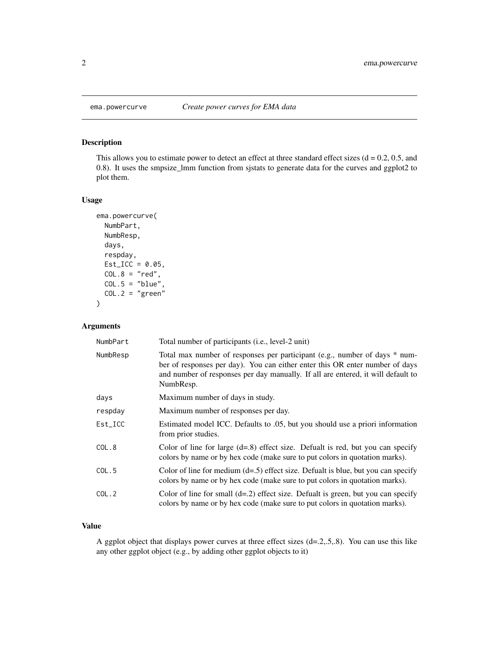# Description

This allows you to estimate power to detect an effect at three standard effect sizes  $(d = 0.2, 0.5,$  and 0.8). It uses the smpsize\_lmm function from sjstats to generate data for the curves and ggplot2 to plot them.

#### Usage

```
ema.powercurve(
 NumbPart,
 NumbResp,
 days,
 respday,
 Est\_ICC = 0.05,COL.8 = "red",COL.5 = "blue",COL.2 = "green")
```
# Arguments

| NumbPart | Total number of participants (i.e., level-2 unit)                                                                                                                                                                                                           |
|----------|-------------------------------------------------------------------------------------------------------------------------------------------------------------------------------------------------------------------------------------------------------------|
| NumbResp | Total max number of responses per participant (e.g., number of days * num-<br>ber of responses per day). You can either enter this OR enter number of days<br>and number of responses per day manually. If all are entered, it will default to<br>NumbResp. |
| days     | Maximum number of days in study.                                                                                                                                                                                                                            |
| respday  | Maximum number of responses per day.                                                                                                                                                                                                                        |
| Est_ICC  | Estimated model ICC. Defaults to .05, but you should use a priori information<br>from prior studies.                                                                                                                                                        |
| COL.8    | Color of line for large $(d=8)$ effect size. Defualt is red, but you can specify<br>colors by name or by hex code (make sure to put colors in quotation marks).                                                                                             |
| COL.5    | Color of line for medium $(d=0.5)$ effect size. Definalt is blue, but you can specify<br>colors by name or by hex code (make sure to put colors in quotation marks).                                                                                        |
| COL.2    | Color of line for small $(d=2)$ effect size. Defualt is green, but you can specify<br>colors by name or by hex code (make sure to put colors in quotation marks).                                                                                           |

#### Value

A ggplot object that displays power curves at three effect sizes (d=.2,.5,.8). You can use this like any other ggplot object (e.g., by adding other ggplot objects to it)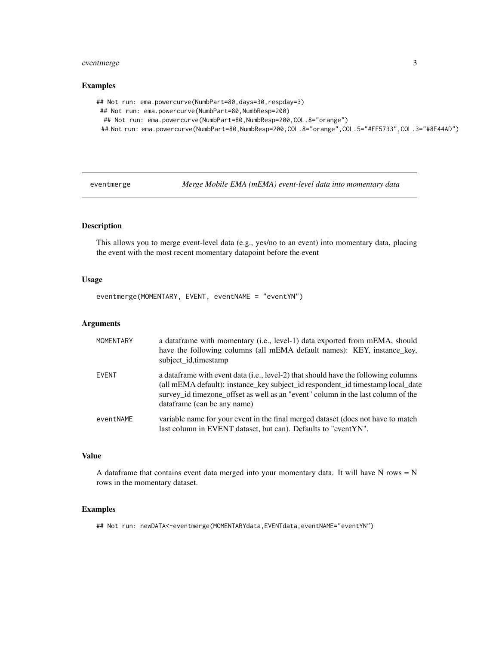# <span id="page-2-0"></span>eventmerge 3

#### Examples

```
## Not run: ema.powercurve(NumbPart=80,days=30,respday=3)
## Not run: ema.powercurve(NumbPart=80,NumbResp=200)
 ## Not run: ema.powercurve(NumbPart=80,NumbResp=200,COL.8="orange")
 ## Not run: ema.powercurve(NumbPart=80,NumbResp=200,COL.8="orange",COL.5="#FF5733",COL.3="#8E44AD")
```
eventmerge *Merge Mobile EMA (mEMA) event-level data into momentary data*

#### Description

This allows you to merge event-level data (e.g., yes/no to an event) into momentary data, placing the event with the most recent momentary datapoint before the event

#### Usage

eventmerge(MOMENTARY, EVENT, eventNAME = "eventYN")

#### Arguments

| <b>MOMENTARY</b> | a data frame with momentary (i.e., level-1) data exported from mEMA, should<br>have the following columns (all mEMA default names): KEY, instance_key,<br>subject id, timestamp                                                                                                          |
|------------------|------------------------------------------------------------------------------------------------------------------------------------------------------------------------------------------------------------------------------------------------------------------------------------------|
| <b>EVENT</b>     | a data frame with event data (i.e., level-2) that should have the following columns<br>(all mEMA default): instance_key subject_id respondent_id timestamp local_date<br>survey_id timezone_offset as well as an "event" column in the last column of the<br>dataframe (can be any name) |
| eventNAME        | variable name for your event in the final merged dataset (does not have to match<br>last column in EVENT dataset, but can). Defaults to "eventYN".                                                                                                                                       |

#### Value

A dataframe that contains event data merged into your momentary data. It will have N rows  $= N$ rows in the momentary dataset.

#### Examples

## Not run: newDATA<-eventmerge(MOMENTARYdata,EVENTdata,eventNAME="eventYN")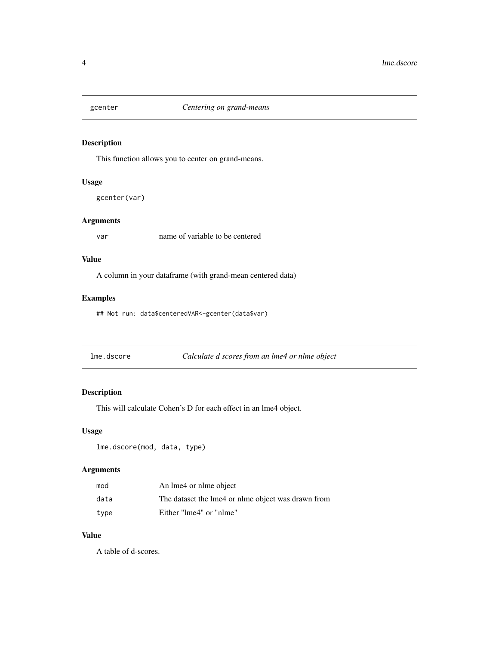<span id="page-3-0"></span>

# Description

This function allows you to center on grand-means.

#### Usage

gcenter(var)

#### Arguments

var name of variable to be centered

#### Value

A column in your dataframe (with grand-mean centered data)

# Examples

## Not run: data\$centeredVAR<-gcenter(data\$var)

| lme.dscore | Calculate d scores from an lme4 or nlme object |
|------------|------------------------------------------------|
|------------|------------------------------------------------|

# Description

This will calculate Cohen's D for each effect in an lme4 object.

#### Usage

```
lme.dscore(mod, data, type)
```
# Arguments

| mod  | An lme4 or nlme object                             |
|------|----------------------------------------------------|
| data | The dataset the lme4 or nlme object was drawn from |
| type | Either "lme4" or "nlme"                            |

#### Value

A table of d-scores.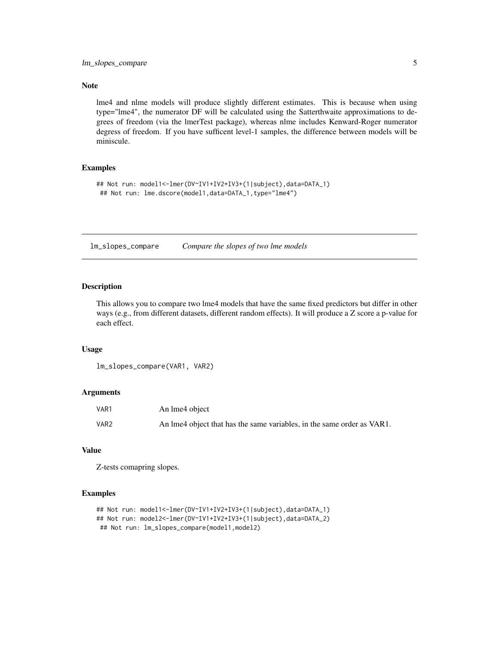#### <span id="page-4-0"></span>Note

lme4 and nlme models will produce slightly different estimates. This is because when using type="lme4", the numerator DF will be calculated using the Satterthwaite approximations to degrees of freedom (via the lmerTest package), whereas nlme includes Kenward-Roger numerator degress of freedom. If you have sufficent level-1 samples, the difference between models will be miniscule.

#### Examples

```
## Not run: model1<-lmer(DV~IV1+IV2+IV3+(1|subject),data=DATA_1)
## Not run: lme.dscore(model1,data=DATA_1,type="lme4")
```
lm\_slopes\_compare *Compare the slopes of two lme models*

#### Description

This allows you to compare two lme4 models that have the same fixed predictors but differ in other ways (e.g., from different datasets, different random effects). It will produce a Z score a p-value for each effect.

#### Usage

```
lm_slopes_compare(VAR1, VAR2)
```
#### Arguments

| VAR1             | An lme4 object                                                         |
|------------------|------------------------------------------------------------------------|
| VAR <sub>2</sub> | An lme4 object that has the same variables, in the same order as VAR1. |

# Value

Z-tests comapring slopes.

#### Examples

```
## Not run: model1<-lmer(DV~IV1+IV2+IV3+(1|subject),data=DATA_1)
## Not run: model2<-lmer(DV~IV1+IV2+IV3+(1|subject),data=DATA_2)
## Not run: lm_slopes_compare(model1,model2)
```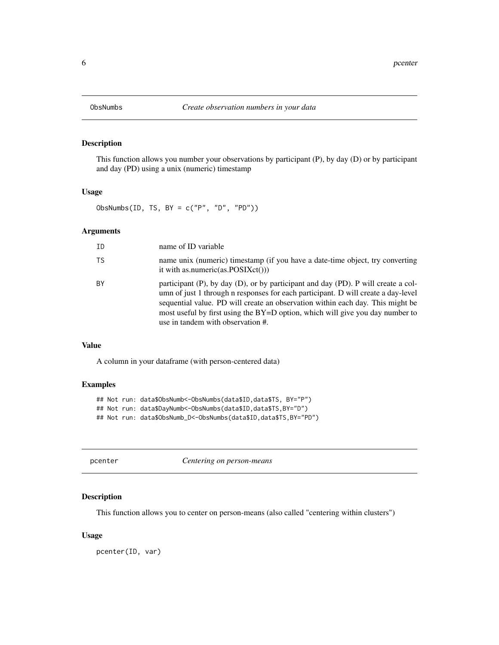# Description

This function allows you number your observations by participant (P), by day (D) or by participant and day (PD) using a unix (numeric) timestamp

# Usage

ObsNumbs(ID, TS, BY =  $c("P", "D", "PD")$ )

#### Arguments

| ΙD | name of ID variable                                                                                                                                                                                                                                                                                                                                                              |
|----|----------------------------------------------------------------------------------------------------------------------------------------------------------------------------------------------------------------------------------------------------------------------------------------------------------------------------------------------------------------------------------|
| TS | name unix (numeric) timestamp (if you have a date-time object, try converting<br>it with as numeric(as. $POSIXct()$ )                                                                                                                                                                                                                                                            |
| ВY | participant (P), by day (D), or by participant and day (PD). P will create a col-<br>umn of just 1 through n responses for each participant. D will create a day-level<br>sequential value. PD will create an observation within each day. This might be<br>most useful by first using the $BY=D$ option, which will give you day number to<br>use in tandem with observation #. |

#### Value

A column in your dataframe (with person-centered data)

#### Examples

## Not run: data\$ObsNumb<-ObsNumbs(data\$ID,data\$TS, BY="P") ## Not run: data\$DayNumb<-ObsNumbs(data\$ID,data\$TS,BY="D") ## Not run: data\$ObsNumb\_D<-ObsNumbs(data\$ID,data\$TS,BY="PD")

| pcenter |  |
|---------|--|
|---------|--|

pcenter *Centering on person-means*

# Description

This function allows you to center on person-means (also called "centering within clusters")

#### Usage

pcenter(ID, var)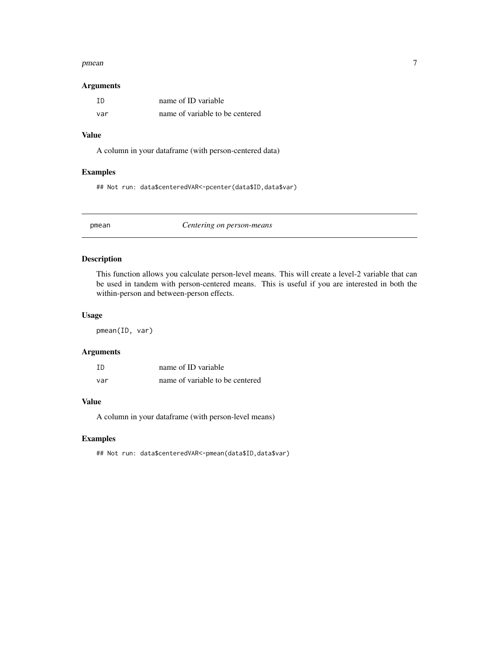#### <span id="page-6-0"></span>pmean 7 and 7 and 7 and 7 and 7 and 7 and 7 and 7 and 7 and 7 and 7 and 7 and 7 and 7 and 7 and 7 and 7 and 7 and 7 and 7 and 7 and 7 and 7 and 7 and 7 and 7 and 7 and 7 and 7 and 7 and 7 and 7 and 7 and 7 and 7 and 7 and

#### Arguments

| TD  | name of ID variable             |
|-----|---------------------------------|
| var | name of variable to be centered |

#### Value

A column in your dataframe (with person-centered data)

# Examples

## Not run: data\$centeredVAR<-pcenter(data\$ID,data\$var)

pmean *Centering on person-means*

# Description

This function allows you calculate person-level means. This will create a level-2 variable that can be used in tandem with person-centered means. This is useful if you are interested in both the within-person and between-person effects.

#### Usage

pmean(ID, var)

#### Arguments

| ΙD  | name of ID variable             |
|-----|---------------------------------|
| var | name of variable to be centered |

# Value

A column in your dataframe (with person-level means)

#### Examples

## Not run: data\$centeredVAR<-pmean(data\$ID,data\$var)